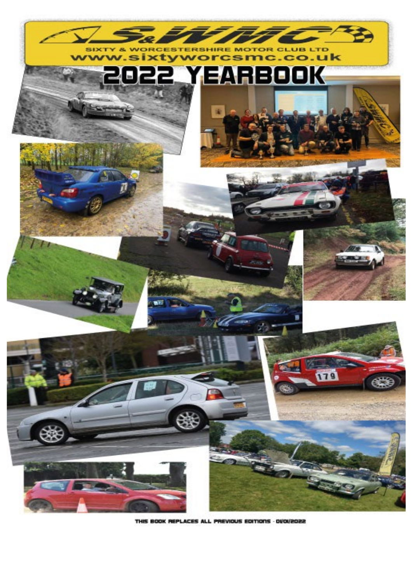

THIS BOOK REPLACES ALL PREVIOUS EDITIONS - OVOI/2022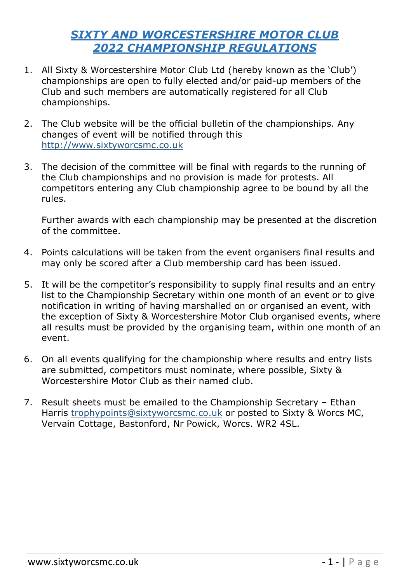#### *SIXTY AND WORCESTERSHIRE MOTOR CLUB 2022 CHAMPIONSHIP REGULATIONS*

- 1. All Sixty & Worcestershire Motor Club Ltd (hereby known as the 'Club') championships are open to fully elected and/or paid-up members of the Club and such members are automatically registered for all Club championships.
- 2. The Club website will be the official bulletin of the championships. Any changes of event will be notified through this [http://www.sixtyworcsmc.co.uk](http://www.sixtyworcsmc.co.uk/)
- 3. The decision of the committee will be final with regards to the running of the Club championships and no provision is made for protests. All competitors entering any Club championship agree to be bound by all the rules.

Further awards with each championship may be presented at the discretion of the committee.

- 4. Points calculations will be taken from the event organisers final results and may only be scored after a Club membership card has been issued.
- 5. It will be the competitor's responsibility to supply final results and an entry list to the Championship Secretary within one month of an event or to give notification in writing of having marshalled on or organised an event, with the exception of Sixty & Worcestershire Motor Club organised events, where all results must be provided by the organising team, within one month of an event.
- 6. On all events qualifying for the championship where results and entry lists are submitted, competitors must nominate, where possible, Sixty & Worcestershire Motor Club as their named club.
- 7. Result sheets must be emailed to the Championship Secretary Ethan Harris [trophypoints@sixtyworcsmc.co.uk](mailto:trophypoints@sixtyworcsmc.co.uk) or posted to Sixty & Worcs MC, Vervain Cottage, Bastonford, Nr Powick, Worcs. WR2 4SL.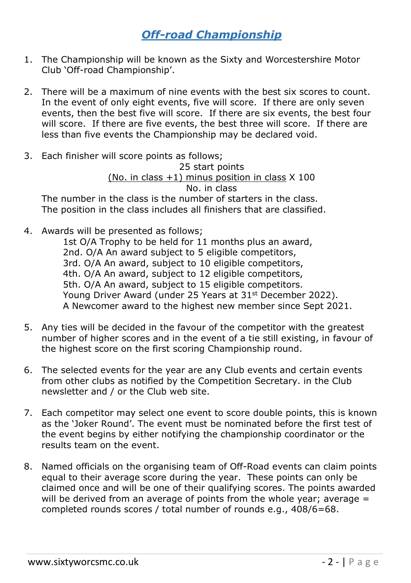## *Off-road Championship*

- 1. The Championship will be known as the Sixty and Worcestershire Motor Club 'Off-road Championship'.
- 2. There will be a maximum of nine events with the best six scores to count. In the event of only eight events, five will score. If there are only seven events, then the best five will score. If there are six events, the best four will score. If there are five events, the best three will score. If there are less than five events the Championship may be declared void.
- 3. Each finisher will score points as follows; 25 start points (No. in class  $+1$ ) minus position in class  $X$  100 No. in class The number in the class is the number of starters in the class. The position in the class includes all finishers that are classified.
- 4. Awards will be presented as follows;
	- 1st O/A Trophy to be held for 11 months plus an award, 2nd. O/A An award subject to 5 eligible competitors, 3rd. O/A An award, subject to 10 eligible competitors, 4th. O/A An award, subject to 12 eligible competitors, 5th. O/A An award, subject to 15 eligible competitors. Young Driver Award (under 25 Years at 31<sup>st</sup> December 2022). A Newcomer award to the highest new member since Sept 2021.
- 5. Any ties will be decided in the favour of the competitor with the greatest number of higher scores and in the event of a tie still existing, in favour of the highest score on the first scoring Championship round.
- 6. The selected events for the year are any Club events and certain events from other clubs as notified by the Competition Secretary. in the Club newsletter and / or the Club web site.
- 7. Each competitor may select one event to score double points, this is known as the 'Joker Round'. The event must be nominated before the first test of the event begins by either notifying the championship coordinator or the results team on the event.
- 8. Named officials on the organising team of Off-Road events can claim points equal to their average score during the year. These points can only be claimed once and will be one of their qualifying scores. The points awarded will be derived from an average of points from the whole year; average  $=$ completed rounds scores / total number of rounds e.g., 408/6=68.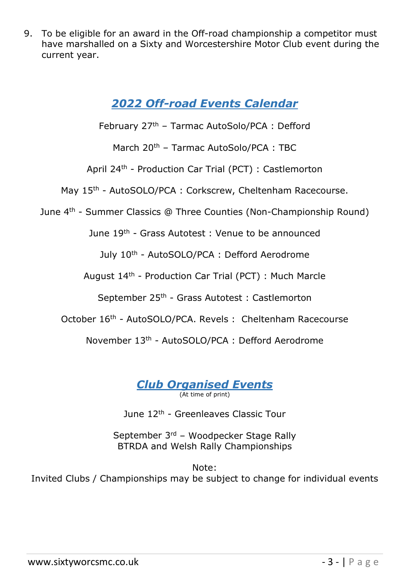9. To be eligible for an award in the Off-road championship a competitor must have marshalled on a Sixty and Worcestershire Motor Club event during the current year.

## *2022 Off-road Events Calendar*

February 27th – Tarmac AutoSolo/PCA : Defford

March 20<sup>th</sup> - Tarmac AutoSolo/PCA : TBC

April 24th - Production Car Trial (PCT) : Castlemorton

May 15<sup>th</sup> - AutoSOLO/PCA : Corkscrew, Cheltenham Racecourse.

June 4th - Summer Classics @ Three Counties (Non-Championship Round)

June 19th - Grass Autotest : Venue to be announced

July 10th - AutoSOLO/PCA : Defford Aerodrome

August 14th - Production Car Trial (PCT) : Much Marcle

September 25th - Grass Autotest : Castlemorton

October 16<sup>th</sup> - AutoSOLO/PCA. Revels : Cheltenham Racecourse

November 13th - AutoSOLO/PCA : Defford Aerodrome

*Club Organised Events* (At time of print)

June 12th - Greenleaves Classic Tour

September 3rd – Woodpecker Stage Rally [BTRDA](http://www.btrdarally.com/) and Welsh Rally Championships

Note: Invited Clubs / Championships may be subject to change for individual events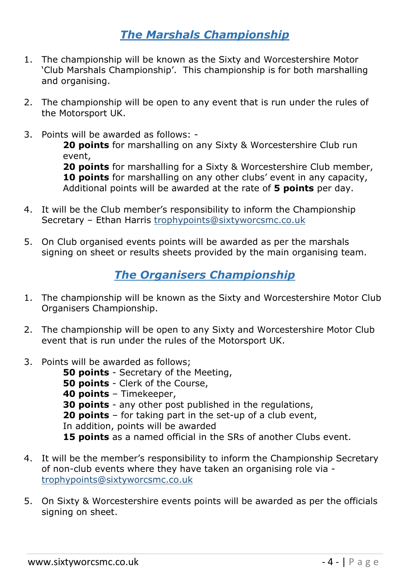## *The Marshals Championship*

- 1. The championship will be known as the Sixty and Worcestershire Motor 'Club Marshals Championship'. This championship is for both marshalling and organising.
- 2. The championship will be open to any event that is run under the rules of the Motorsport UK.
- 3. Points will be awarded as follows: -

**20 points** for marshalling on any Sixty & Worcestershire Club run event,

**20 points** for marshalling for a Sixty & Worcestershire Club member, **10 points** for marshalling on any other clubs' event in any capacity, Additional points will be awarded at the rate of **5 points** per day.

- 4. It will be the Club member's responsibility to inform the Championship Secretary – Ethan Harris [trophypoints@sixtyworcsmc.co.uk](mailto:trophypoints@sixtyworcsmc.co.uk)
- 5. On Club organised events points will be awarded as per the marshals signing on sheet or results sheets provided by the main organising team.

## *The Organisers Championship*

- 1. The championship will be known as the Sixty and Worcestershire Motor Club Organisers Championship.
- 2. The championship will be open to any Sixty and Worcestershire Motor Club event that is run under the rules of the Motorsport UK.
- 3. Points will be awarded as follows;
	- **50 points** Secretary of the Meeting, **50 points** - Clerk of the Course, **40 points** – Timekeeper, **30 points** - any other post published in the regulations, **20 points** – for taking part in the set-up of a club event, In addition, points will be awarded **15 points** as a named official in the SRs of another Clubs event.
- 4. It will be the member's responsibility to inform the Championship Secretary of non-club events where they have taken an organising role via [trophypoints@sixtyworcsmc.co.uk](mailto:trophypoints@sixtyworcsmc.co.uk)
- 5. On Sixty & Worcestershire events points will be awarded as per the officials signing on sheet.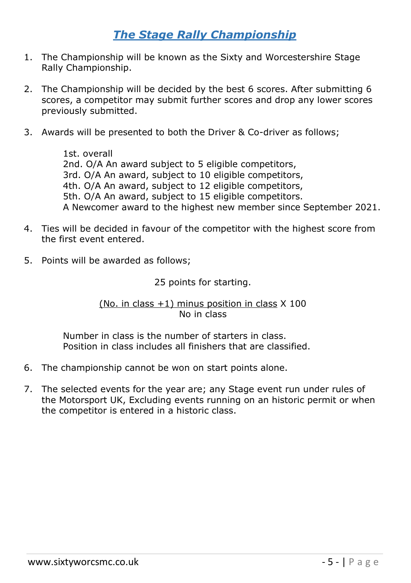## *The Stage Rally Championship*

- 1. The Championship will be known as the Sixty and Worcestershire Stage Rally Championship.
- 2. The Championship will be decided by the best 6 scores. After submitting 6 scores, a competitor may submit further scores and drop any lower scores previously submitted.
- 3. Awards will be presented to both the Driver & Co-driver as follows;

1st. overall 2nd. O/A An award subject to 5 eligible competitors, 3rd. O/A An award, subject to 10 eligible competitors, 4th. O/A An award, subject to 12 eligible competitors, 5th. O/A An award, subject to 15 eligible competitors. A Newcomer award to the highest new member since September 2021.

- 4. Ties will be decided in favour of the competitor with the highest score from the first event entered.
- 5. Points will be awarded as follows;

#### 25 points for starting.

#### (No. in class  $+1$ ) minus position in class  $X$  100 No in class

Number in class is the number of starters in class. Position in class includes all finishers that are classified.

- 6. The championship cannot be won on start points alone.
- 7. The selected events for the year are; any Stage event run under rules of the Motorsport UK, Excluding events running on an historic permit or when the competitor is entered in a historic class.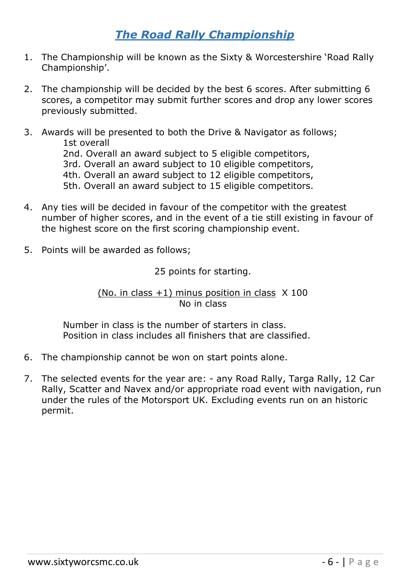## *The Road Rally Championship*

- 1. The Championship will be known as the Sixty & Worcestershire 'Road Rally Championship'.
- 2. The championship will be decided by the best 6 scores. After submitting 6 scores, a competitor may submit further scores and drop any lower scores previously submitted.
- 3. Awards will be presented to both the Drive & Navigator as follows; 1st overall 2nd. Overall an award subject to 5 eligible competitors, 3rd. Overall an award subject to 10 eligible competitors, 4th. Overall an award subject to 12 eligible competitors, 5th. Overall an award subject to 15 eligible competitors.
- 4. Any ties will be decided in favour of the competitor with the greatest number of higher scores, and in the event of a tie still existing in favour of the highest score on the first scoring championship event.
- 5. Points will be awarded as follows;

25 points for starting.

(No. in class  $+1$ ) minus position in class  $X$  100 No in class

Number in class is the number of starters in class. Position in class includes all finishers that are classified.

- 6. The championship cannot be won on start points alone.
- 7. The selected events for the year are: any Road Rally, Targa Rally, 12 Car Rally, Scatter and Navex and/or appropriate road event with navigation, run under the rules of the Motorsport UK. Excluding events run on an historic permit.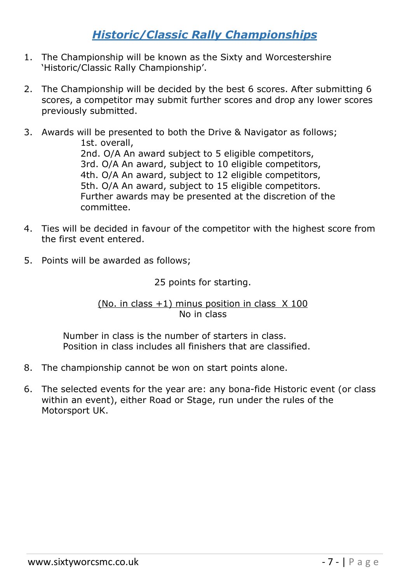## *Historic/Classic Rally Championships*

- 1. The Championship will be known as the Sixty and Worcestershire 'Historic/Classic Rally Championship'.
- 2. The Championship will be decided by the best 6 scores. After submitting 6 scores, a competitor may submit further scores and drop any lower scores previously submitted.
- 3. Awards will be presented to both the Drive & Navigator as follows; 1st. overall, 2nd. O/A An award subject to 5 eligible competitors, 3rd. O/A An award, subject to 10 eligible competitors, 4th. O/A An award, subject to 12 eligible competitors, 5th. O/A An award, subject to 15 eligible competitors. Further awards may be presented at the discretion of the committee.
- 4. Ties will be decided in favour of the competitor with the highest score from the first event entered.
- 5. Points will be awarded as follows;

25 points for starting.

(No. in class  $+1$ ) minus position in class  $\times$  100 No in class

Number in class is the number of starters in class. Position in class includes all finishers that are classified.

- 8. The championship cannot be won on start points alone.
- 6. The selected events for the year are: any bona-fide Historic event (or class within an event), either Road or Stage, run under the rules of the Motorsport UK.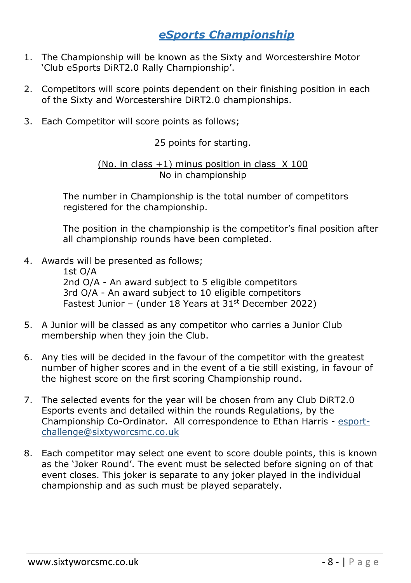## *eSports Championship*

- 1. The Championship will be known as the Sixty and Worcestershire Motor 'Club eSports DiRT2.0 Rally Championship'.
- 2. Competitors will score points dependent on their finishing position in each of the Sixty and Worcestershire DiRT2.0 championships.
- 3. Each Competitor will score points as follows;

25 points for starting.

(No. in class  $+1$ ) minus position in class  $\times$  100 No in championship

The number in Championship is the total number of competitors registered for the championship.

The position in the championship is the competitor's final position after all championship rounds have been completed.

4. Awards will be presented as follows;

1st O/A 2nd O/A - An award subject to 5 eligible competitors 3rd O/A - An award subject to 10 eligible competitors Fastest Junior – (under 18 Years at  $31<sup>st</sup>$  December 2022)

- 5. A Junior will be classed as any competitor who carries a Junior Club membership when they join the Club.
- 6. Any ties will be decided in the favour of the competitor with the greatest number of higher scores and in the event of a tie still existing, in favour of the highest score on the first scoring Championship round.
- 7. The selected events for the year will be chosen from any Club DiRT2.0 Esports events and detailed within the rounds Regulations, by the Championship Co-Ordinator. All correspondence to Ethan Harris - [esport](https://my.ionos.co.uk/email-account-details/mailbox/181958072)[challenge@sixtyworcsmc.co.uk](https://my.ionos.co.uk/email-account-details/mailbox/181958072)
- 8. Each competitor may select one event to score double points, this is known as the 'Joker Round'. The event must be selected before signing on of that event closes. This joker is separate to any joker played in the individual championship and as such must be played separately.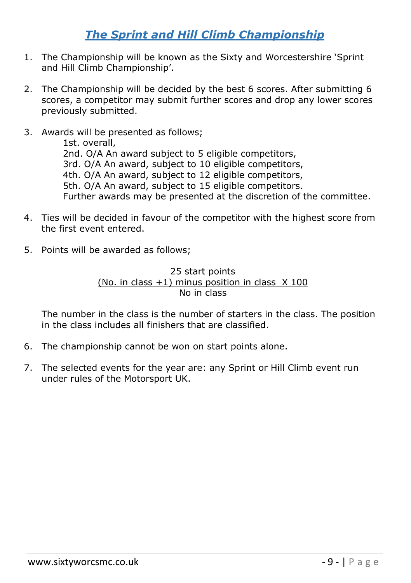## *The Sprint and Hill Climb Championship*

- 1. The Championship will be known as the Sixty and Worcestershire 'Sprint and Hill Climb Championship'.
- 2. The Championship will be decided by the best 6 scores. After submitting 6 scores, a competitor may submit further scores and drop any lower scores previously submitted.
- 3. Awards will be presented as follows; 1st. overall, 2nd. O/A An award subject to 5 eligible competitors, 3rd. O/A An award, subject to 10 eligible competitors, 4th. O/A An award, subject to 12 eligible competitors, 5th. O/A An award, subject to 15 eligible competitors. Further awards may be presented at the discretion of the committee.
- 4. Ties will be decided in favour of the competitor with the highest score from the first event entered.
- 5. Points will be awarded as follows;

#### 25 start points (No. in class  $+1$ ) minus position in class  $\times$  100 No in class

The number in the class is the number of starters in the class. The position in the class includes all finishers that are classified.

- 6. The championship cannot be won on start points alone.
- 7. The selected events for the year are: any Sprint or Hill Climb event run under rules of the Motorsport UK.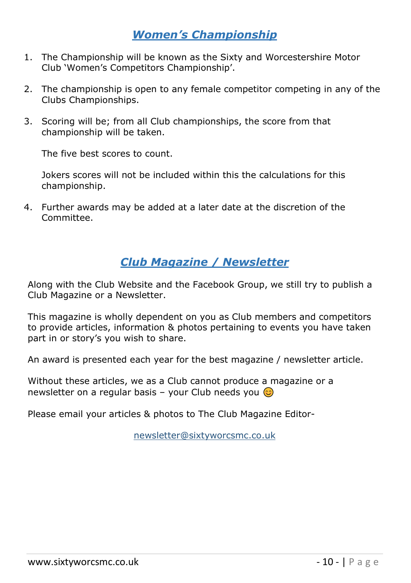## *Women's Championship*

- 1. The Championship will be known as the Sixty and Worcestershire Motor Club 'Women's Competitors Championship'.
- 2. The championship is open to any female competitor competing in any of the Clubs Championships.
- 3. Scoring will be; from all Club championships, the score from that championship will be taken.

The five best scores to count.

Jokers scores will not be included within this the calculations for this championship.

4. Further awards may be added at a later date at the discretion of the Committee.

## *Club Magazine / Newsletter*

Along with the Club Website and the Facebook Group, we still try to publish a Club Magazine or a Newsletter.

This magazine is wholly dependent on you as Club members and competitors to provide articles, information & photos pertaining to events you have taken part in or story's you wish to share.

An award is presented each year for the best magazine / newsletter article.

Without these articles, we as a Club cannot produce a magazine or a newsletter on a regular basis – your Club needs you  $\odot$ 

Please email your articles & photos to The Club Magazine Editor-

[newsletter@sixtyworcsmc.co.uk](mailto:newsletter@sixtyworcsmc.co.uk)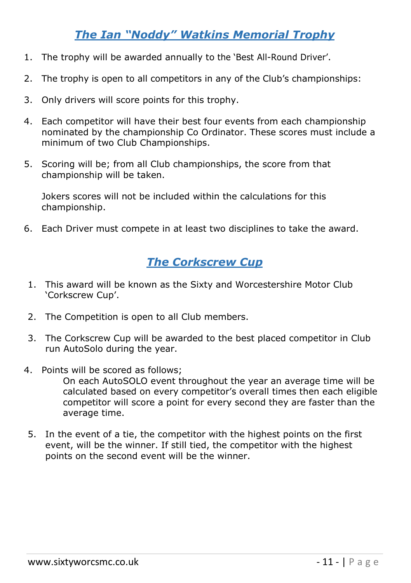## *The Ian "Noddy" Watkins Memorial Trophy*

- 1. The trophy will be awarded annually to the 'Best All-Round Driver'.
- 2. The trophy is open to all competitors in any of the Club's championships:
- 3. Only drivers will score points for this trophy.
- 4. Each competitor will have their best four events from each championship nominated by the championship Co Ordinator. These scores must include a minimum of two Club Championships.
- 5. Scoring will be; from all Club championships, the score from that championship will be taken.

Jokers scores will not be included within the calculations for this championship.

6. Each Driver must compete in at least two disciplines to take the award.

## *The Corkscrew Cup*

- 1. This award will be known as the Sixty and Worcestershire Motor Club 'Corkscrew Cup'.
- 2. The Competition is open to all Club members.
- 3. The Corkscrew Cup will be awarded to the best placed competitor in Club run AutoSolo during the year.
- 4. Points will be scored as follows;

On each AutoSOLO event throughout the year an average time will be calculated based on every competitor's overall times then each eligible competitor will score a point for every second they are faster than the average time.

5. In the event of a tie, the competitor with the highest points on the first event, will be the winner. If still tied, the competitor with the highest points on the second event will be the winner.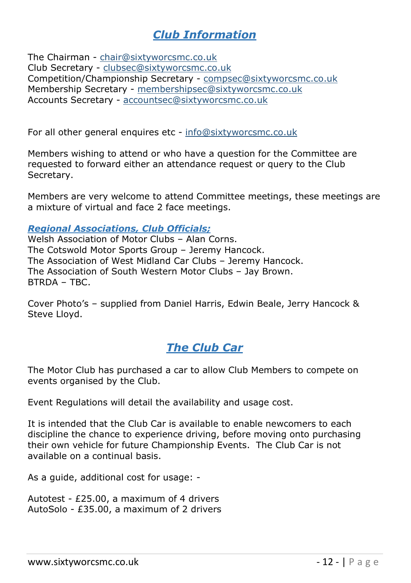## *Club Information*

The Chairman - [chair@sixtyworcsmc.co.uk](mailto:chair@sixtyworcsmc.co.uk) Club Secretary - [clubsec@sixtyworcsmc.co.uk](mailto:clubsec@sixtyworcsmc.co.uk) Competition/Championship Secretary - [compsec@sixtyworcsmc.co.uk](mailto:compsec@sixtyworcsmc.co.uk) Membership Secretary - [membershipsec@sixtyworcsmc.co.uk](mailto:membershipsec@sixtyworcsmc.co.uk) Accounts Secretary - [accountsec@sixtyworcsmc.co.uk](mailto:accountsec@sixtyworcsmc.co.uk)

For all other general enquires etc - [info@sixtyworcsmc.co.uk](mailto:info@sixtyworcsmc.co.uk)

Members wishing to attend or who have a question for the Committee are requested to forward either an attendance request or query to the Club Secretary.

Members are very welcome to attend Committee meetings, these meetings are a mixture of virtual and face 2 face meetings.

*Regional Associations, Club Officials;*

Welsh Association of Motor Clubs – Alan Corns. The Cotswold Motor Sports Group – Jeremy Hancock. The Association of West Midland Car Clubs – Jeremy Hancock. The Association of South Western Motor Clubs – Jay Brown. BTRDA – TBC.

Cover Photo's – supplied from Daniel Harris, Edwin Beale, Jerry Hancock & Steve Lloyd.

## *The Club Car*

The Motor Club has purchased a car to allow Club Members to compete on events organised by the Club.

Event Regulations will detail the availability and usage cost.

It is intended that the Club Car is available to enable newcomers to each discipline the chance to experience driving, before moving onto purchasing their own vehicle for future Championship Events. The Club Car is not available on a continual basis.

As a guide, additional cost for usage: -

Autotest - £25.00, a maximum of 4 drivers AutoSolo - £35.00, a maximum of 2 drivers